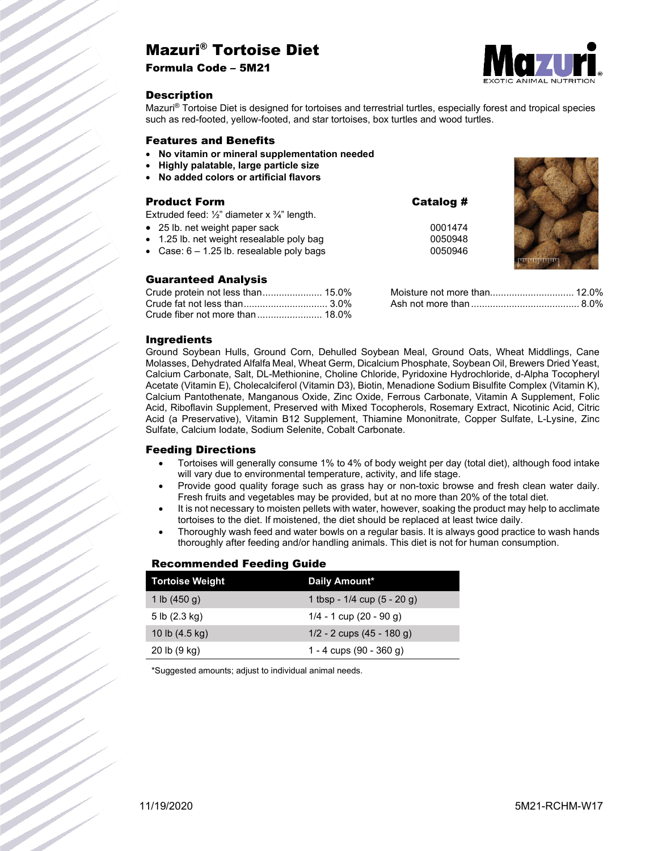# Mazuri® Tortoise Diet

Formula Code – 5M21



### **Description**

Mazuri® Tortoise Diet is designed for tortoises and terrestrial turtles, especially forest and tropical species such as red-footed, yellow-footed, and star tortoises, box turtles and wood turtles.

#### Features and Benefits

- **No vitamin or mineral supplementation needed**
- **Highly palatable, large particle size**
- **No added colors or artificial flavors**

## Product Form Catalog #

Extruded feed: ½" diameter x ¾" length.

- 25 lb. net weight paper sack 0001474
- 1.25 lb. net weight resealable poly bag 0050948
- Case:  $6 1.25$  lb. resealable poly bags

### Guaranteed Analysis

| Moisture not more than 12.0% |  |
|------------------------------|--|
|                              |  |

### Ingredients

Ground Soybean Hulls, Ground Corn, Dehulled Soybean Meal, Ground Oats, Wheat Middlings, Cane Molasses, Dehydrated Alfalfa Meal, Wheat Germ, Dicalcium Phosphate, Soybean Oil, Brewers Dried Yeast, Calcium Carbonate, Salt, DL-Methionine, Choline Chloride, Pyridoxine Hydrochloride, d-Alpha Tocopheryl Acetate (Vitamin E), Cholecalciferol (Vitamin D3), Biotin, Menadione Sodium Bisulfite Complex (Vitamin K), Calcium Pantothenate, Manganous Oxide, Zinc Oxide, Ferrous Carbonate, Vitamin A Supplement, Folic Acid, Riboflavin Supplement, Preserved with Mixed Tocopherols, Rosemary Extract, Nicotinic Acid, Citric Acid (a Preservative), Vitamin B12 Supplement, Thiamine Mononitrate, Copper Sulfate, L-Lysine, Zinc Sulfate, Calcium Iodate, Sodium Selenite, Cobalt Carbonate.

### Feeding Directions

- Tortoises will generally consume 1% to 4% of body weight per day (total diet), although food intake will vary due to environmental temperature, activity, and life stage.
- Provide good quality forage such as grass hay or non-toxic browse and fresh clean water daily. Fresh fruits and vegetables may be provided, but at no more than 20% of the total diet.
- It is not necessary to moisten pellets with water, however, soaking the product may help to acclimate tortoises to the diet. If moistened, the diet should be replaced at least twice daily.
- Thoroughly wash feed and water bowls on a regular basis. It is always good practice to wash hands thoroughly after feeding and/or handling animals. This diet is not for human consumption.

### Recommended Feeding Guide

| <b>Tortoise Weight</b>   | Daily Amount*                   |
|--------------------------|---------------------------------|
| 1 lb $(450 g)$           | 1 tbsp - $1/4$ cup $(5 - 20$ g) |
| 5 lb $(2.3 \text{ kg})$  | $1/4 - 1$ cup $(20 - 90$ g)     |
| 10 lb $(4.5 \text{ kg})$ | $1/2 - 2$ cups $(45 - 180$ g)   |
| 20 lb (9 kg)             | 1 - 4 cups $(90 - 360)$         |

\*Suggested amounts; adjust to individual animal needs.